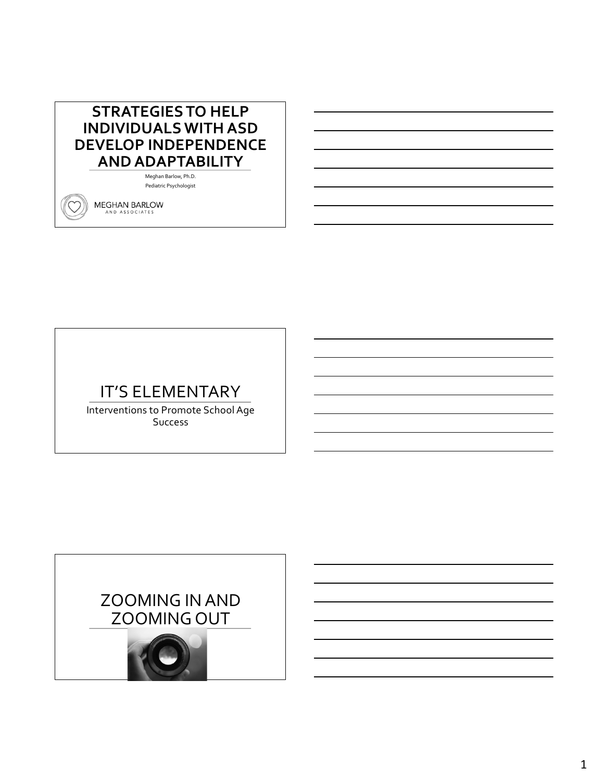## **STRATEGIES TO HELP INDIVIDUALS WITH ASD DEVELOP INDEPENDENCE AND ADAPTABILITY**

Meghan Barlow, Ph.D. Pediatric Psychologist

**MEGHAN BARLOW** AND ASSOCIATES

## IT'S ELEMENTARY

Interventions to Promote School Age Success

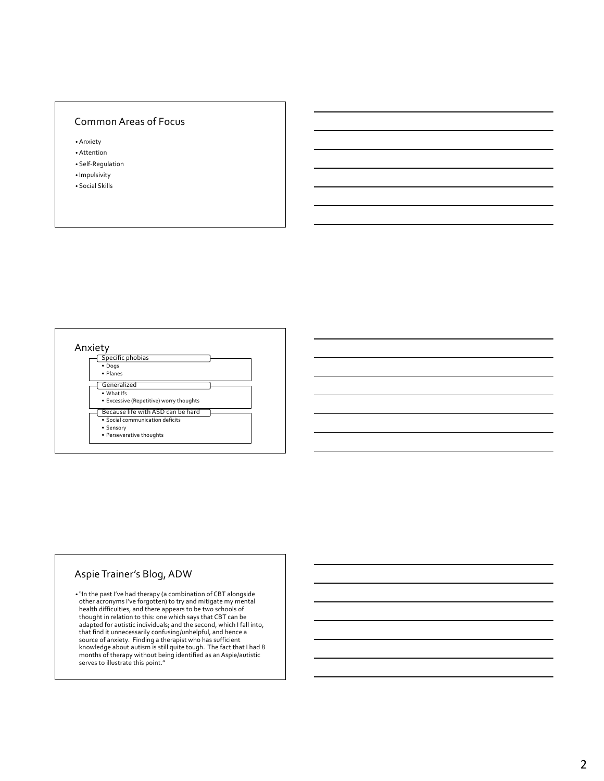#### Common Areas of Focus

• Anxiety

- Attention • Self-Regulation
- Impulsivity
- Social Skills



#### Aspie Trainer's Blog, ADW

• "In the past I've had therapy (a combination of CBT alongside other acronyms I've forgotten) to try and mitigate my mental health difficulties, and there appears to be two schools of thought in relation to this: one which says that CBT can be adapted for autistic individuals; and the second, which I fall into, that find it unnecessarily confusing/unhelpful, and hence a source of anxiety. Finding a therapist who has sufficient knowledge about autism is still quite tough. The fact that I had 8 months of therapy without being identified as an Aspie/autistic serves to illustrate this point."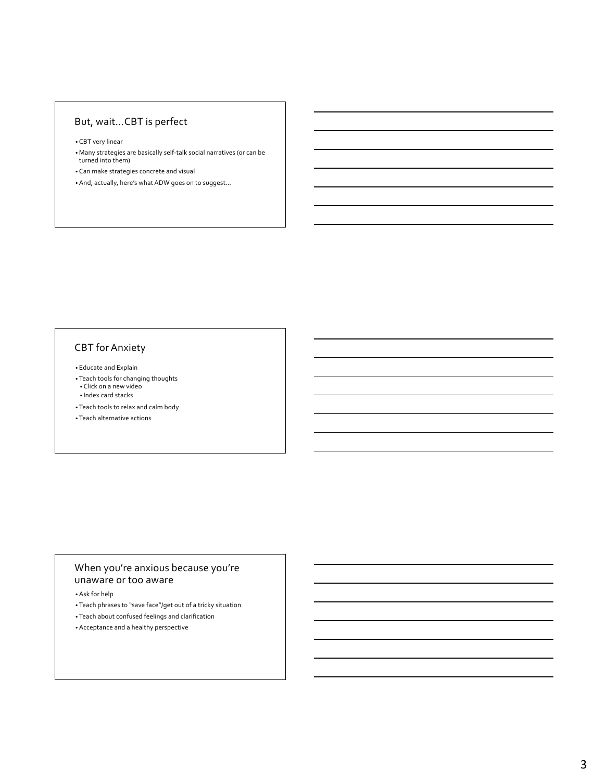### But, wait…CBT is perfect

• CBT very linear

- Many strategies are basically self-talk social narratives (or can be turned into them)
- Can make strategies concrete and visual
- And, actually, here's what ADW goes on to suggest…

#### CBT for Anxiety

• Educate and Explain

- Teach tools for changing thoughts Click on a new video
- Index card stacks
- Teach tools to relax and calm body

• Teach alternative actions

#### When you're anxious because you're unaware or too aware

• Ask for help

- Teach phrases to "save face"/get out of a tricky situation
- Teach about confused feelings and clarification
- Acceptance and a healthy perspective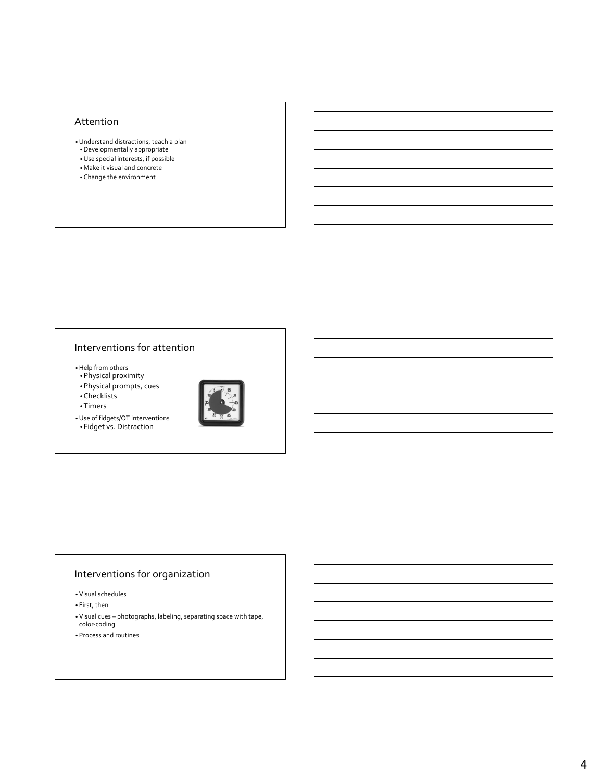#### Attention

- •Understand distractions, teach a plan
- •Developmentally appropriate •Use special interests, if possible
- Make it visual and concrete
- Change the environment

## Interventions for attention

•Help from others

- •Physical proximity
- •Physical prompts, cues
- •Checklists
- •Timers
- •Use of fidgets/OT interventions •Fidget vs. Distraction



#### Interventions for organization

• Visual schedules

• First, then

• Visual cues – photographs, labeling, separating space with tape, color-coding

• Process and routines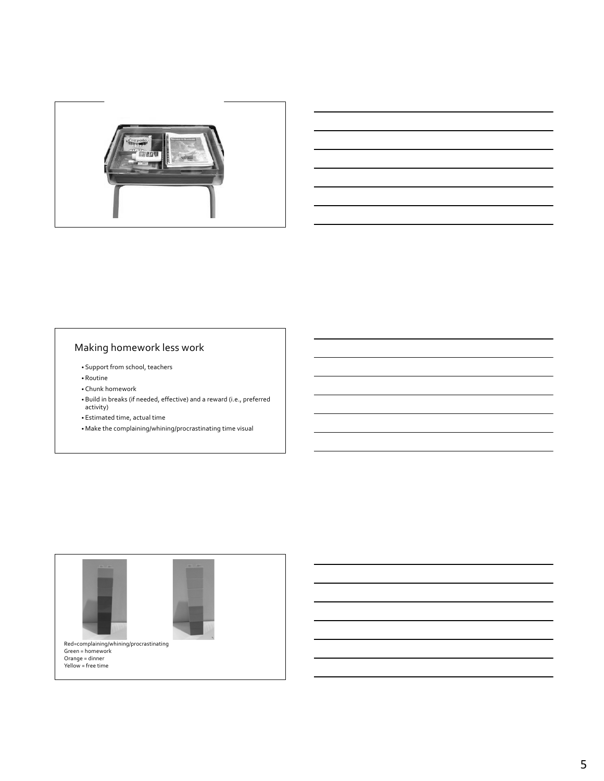



## Making homework less work

- Support from school, teachers
- Routine
- Chunk homework
- Build in breaks (if needed, effective) and a reward (i.e., preferred activity)
- Estimated time, actual time
- Make the complaining/whining/procrastinating time visual

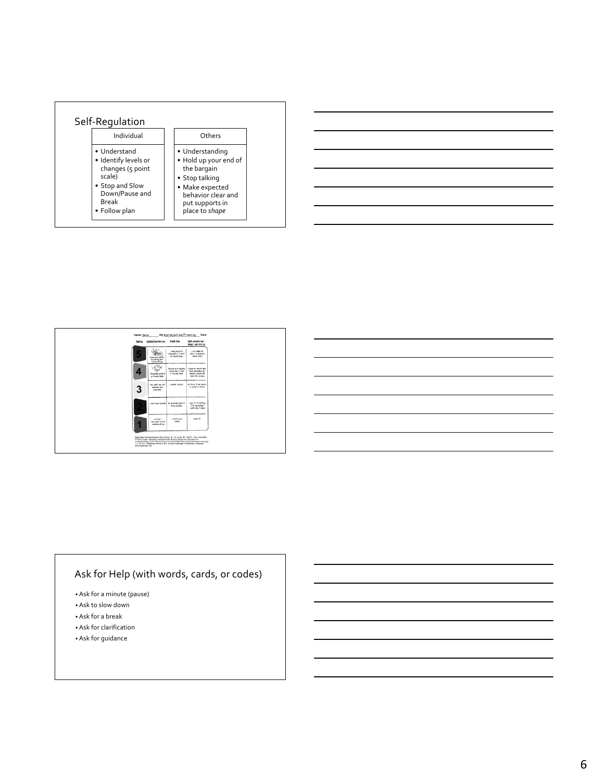







### Ask for Help (with words, cards, or codes)

- Ask for a minute (pause)
- Ask to slow down
- Ask for a break
- Ask for clarification
- Ask for guidance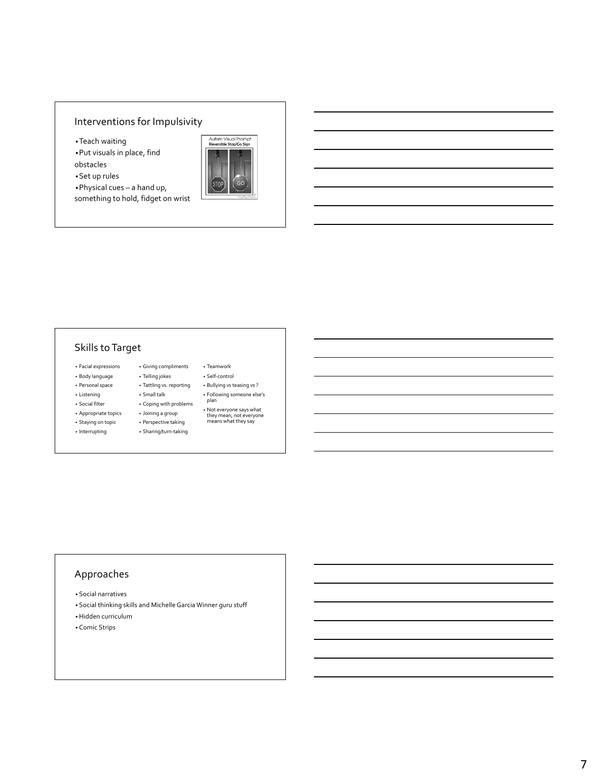### Interventions for Impulsivity

•Teach waiting

•Put visuals in place, find

- obstacles
- •Set up rules

•Physical cues – a hand up,

something to hold, fidget on wrist



#### Skills to Target

- Facial expressions • Giving compliments
- Body language
- Personal space
- Listening
- Social filter
- Appropriate topics
- Staying on topic
- Interrupting
- Telling jokes • Tattling vs. reporting
- Small talk
- Coping with problems
- Joining a group
	- Perspective taking
	- Sharing/turn-taking
- Teamwork • Self-control
- Bullying vs teasing vs ?
- Following someone else's
- plan • Not everyone says what they mean, not everyone means what they say
- 

## Approaches

- Social narratives
- Social thinking skills and Michelle Garcia Winner guru stuff
- •Hidden curriculum
- Comic Strips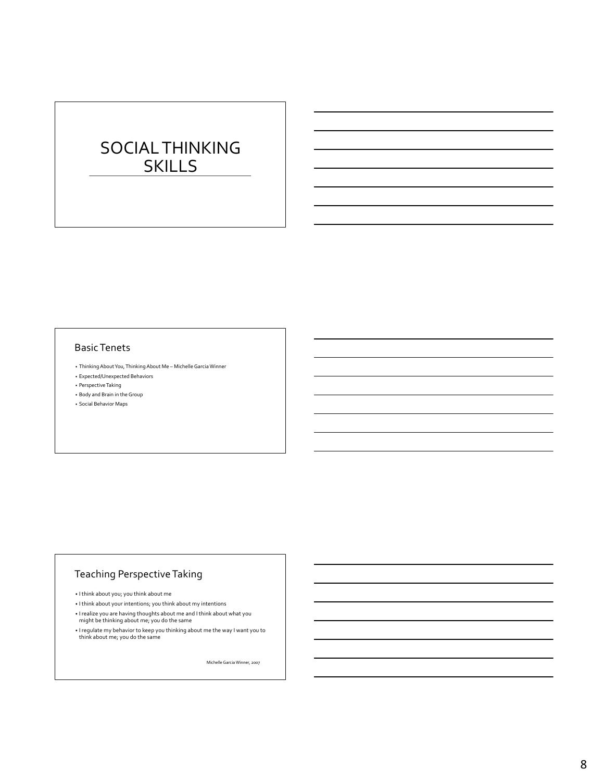# SOCIAL THINKING SKILLS

#### Basic Tenets

- Thinking About You, Thinking About Me Michelle Garcia Winner
- Expected/Unexpected Behaviors
- Perspective Taking
- Body and Brain in the Group
- Social Behavior Maps

#### Teaching Perspective Taking

- I think about you; you think about me
- I think about your intentions; you think about my intentions
- I realize you are having thoughts about me and I think about what you
- might be thinking about me; you do the same
- I regulate my behavior to keep you thinking about me the way I want you to think about me; you do the same

Michelle Garcia Winner, 2007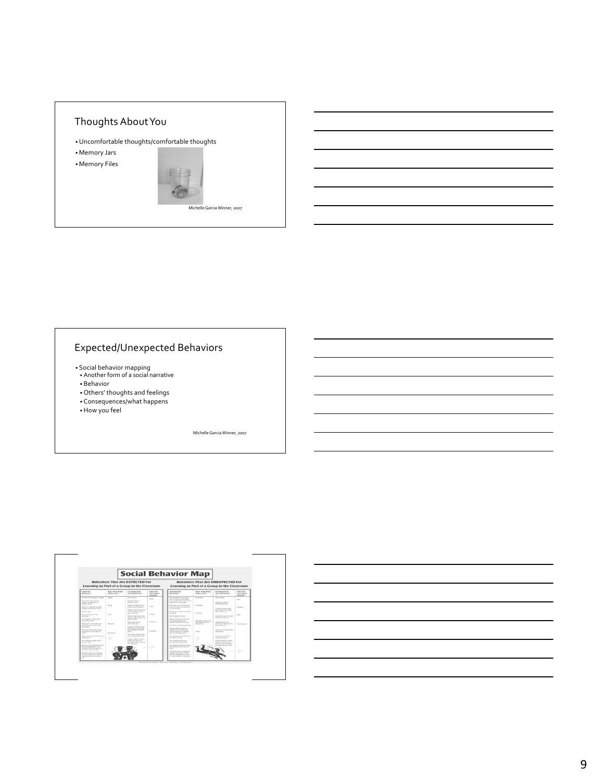

### Expected/Unexpected Behaviors

- Social behavior mapping Another form of a social narrative
- Behavior
- Others' thoughts and feelings
- Consequences/what happens
- •How you feel

Michelle Garcia Winner, 2007



9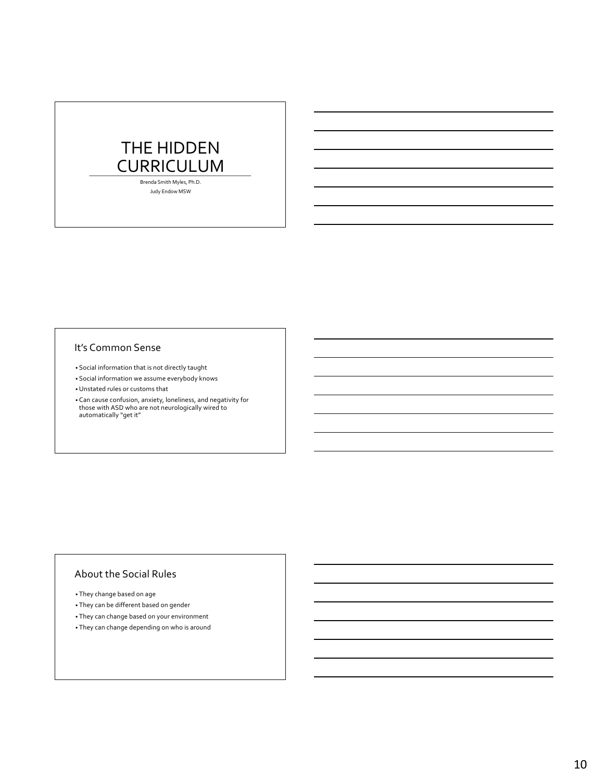## THE HIDDEN CURRICULUM

Brenda Smith Myles, Ph.D. Judy Endow MSW

#### It's Common Sense

- Social information that is not directly taught
- Social information we assume everybody knows
- •Unstated rules or customs that
- Can cause confusion, anxiety, loneliness, and negativity for those with ASD who are not neurologically wired to automatically "get it"

#### About the Social Rules

- They change based on age
- They can be different based on gender
- They can change based on your environment
- They can change depending on who is around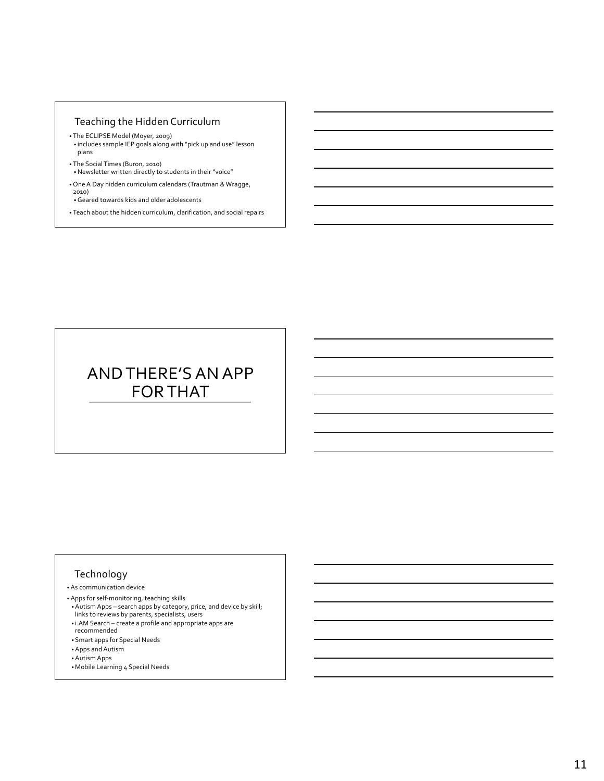#### Teaching the Hidden Curriculum

- The ECLIPSE Model (Moyer, 2009) • includes sample IEP goals along with "pick up and use" lesson plans
- The Social Times (Buron, 2010) •Newsletter written directly to students in their "voice"
- One A Day hidden curriculum calendars (Trautman & Wragge, 2010)
- •Geared towards kids and older adolescents
- Teach about the hidden curriculum, clarification, and social repairs

# AND THERE'S AN APP FOR THAT

#### Technology

- As communication device
- Apps for self-monitoring, teaching skills
- Autism Apps search apps by category, price, and device by skill; links to reviews by parents, specialists, users
- i.AM Search create a profile and appropriate apps are recommended
- Smart apps for Special Needs
- Apps and Autism
- Autism Apps
- Mobile Learning 4 Special Needs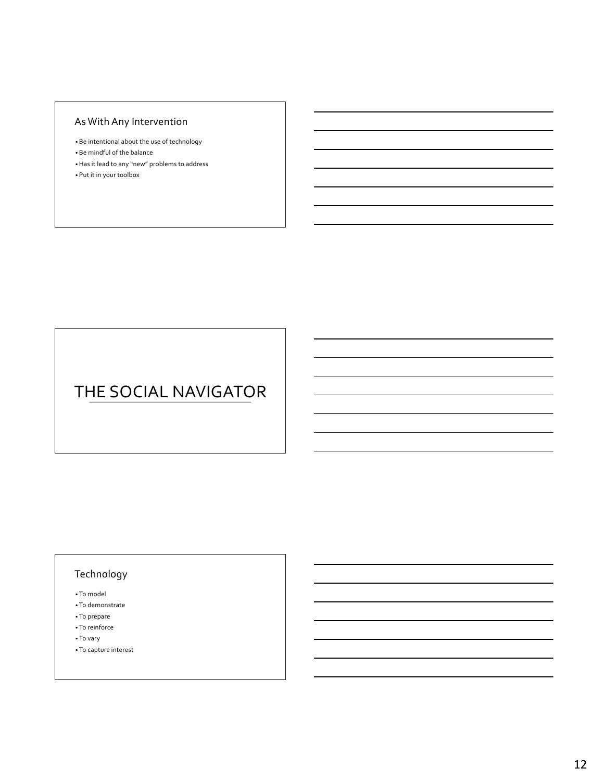## As With Any Intervention

- Be intentional about the use of technology
- Be mindful of the balance
- •Has it lead to any "new" problems to address
- Put it in your toolbox

# THE SOCIAL NAVIGATOR

### Technology

• To model

- To demonstrate
- To prepare
- To reinforce
- To vary
- To capture interest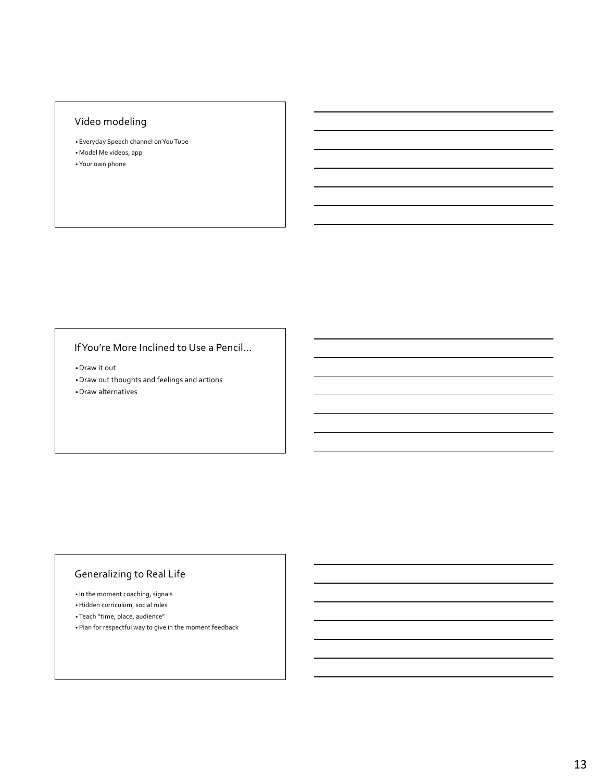### Video modeling

- Everyday Speech channel on You Tube
- Model Me videos, app
- Your own phone

### If You're More Inclined to Use a Pencil…

•Draw it out •Draw out thoughts and feelings and actions •Draw alternatives

### Generalizing to Real Life

- In the moment coaching, signals
- •Hidden curriculum, social rules
- Teach "time, place, audience"
- Plan for respectful way to give in the moment feedback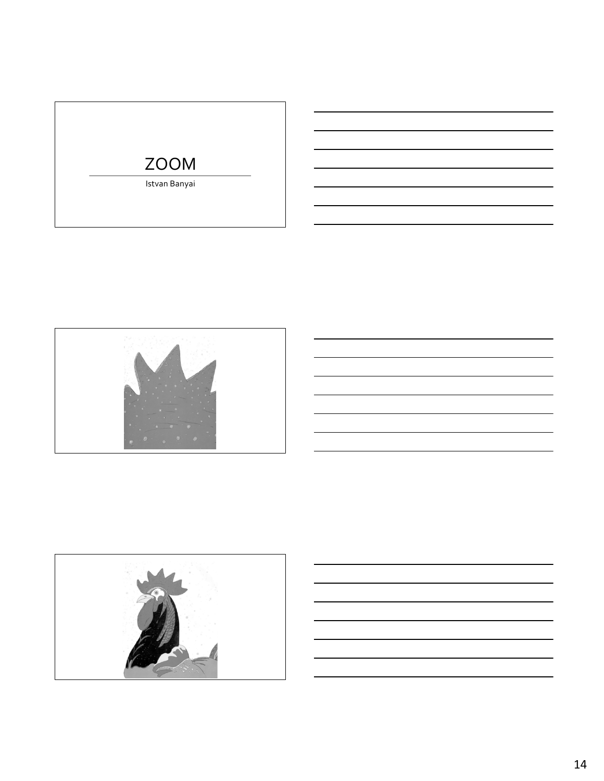# ZOOM

Istvan Banyai



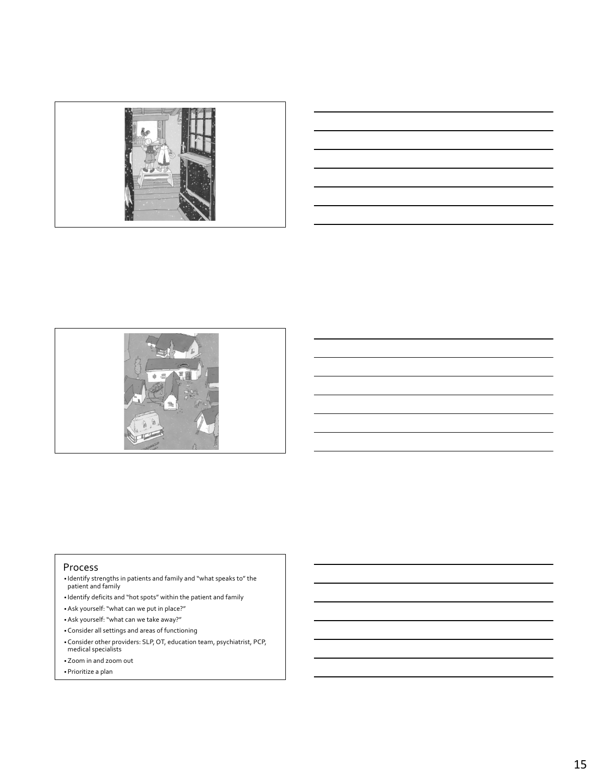



#### Process

- Identify strengths in patients and family and "what speaks to" the patient and family
- Identify deficits and "hot spots" within the patient and family
- Ask yourself: "what can we put in place?"
- Ask yourself: "what can we take away?"
- Consider all settings and areas of functioning
- Consider other providers: SLP, OT, education team, psychiatrist, PCP, medical specialists
- Zoom in and zoom out
- Prioritize a plan